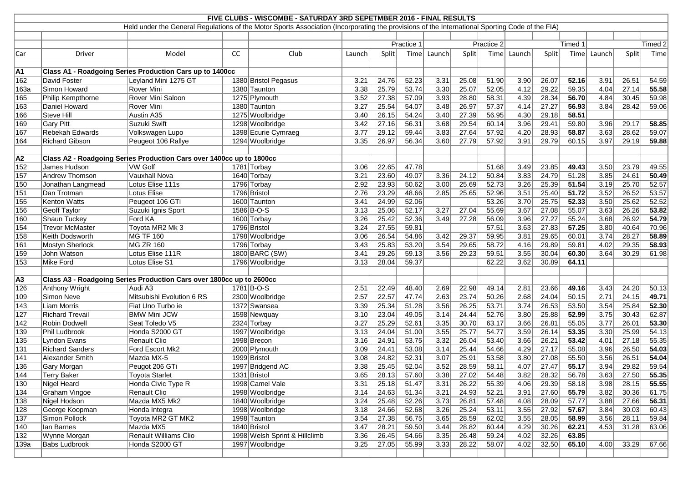| FIVE CLUBS - WISCOMBE - SATURDAY 3RD SEPETMBER 2016 - FINAL RESULTS<br>Held under the General Regulations of the Motor Sports Association (Incorporating the provisions of the International Sporting Code of the FIA) |                        |                                                                      |    |                               |            |       |            |                   |       |       |        |         |         |                   |       |       |
|------------------------------------------------------------------------------------------------------------------------------------------------------------------------------------------------------------------------|------------------------|----------------------------------------------------------------------|----|-------------------------------|------------|-------|------------|-------------------|-------|-------|--------|---------|---------|-------------------|-------|-------|
|                                                                                                                                                                                                                        |                        |                                                                      |    |                               |            |       |            |                   |       |       |        |         |         |                   |       |       |
|                                                                                                                                                                                                                        |                        |                                                                      |    |                               |            |       |            |                   |       |       |        |         |         |                   |       |       |
|                                                                                                                                                                                                                        |                        |                                                                      |    |                               | Practice 1 |       | Practice 2 |                   |       |       |        | Timed 1 | Timed 2 |                   |       |       |
| Car                                                                                                                                                                                                                    | Driver                 | Model                                                                | cc | Club                          | Launch     | Split | Time       | Launch            | Split | Time  | Launch | Split   | Time    | Launch            | Split | Time  |
|                                                                                                                                                                                                                        |                        |                                                                      |    |                               |            |       |            |                   |       |       |        |         |         |                   |       |       |
| A1                                                                                                                                                                                                                     |                        | Class A1 - Roadgoing Series Production Cars up to 1400cc             |    |                               |            |       |            |                   |       |       |        |         |         |                   |       |       |
| 162                                                                                                                                                                                                                    | David Foster           | Leyland Mini 1275 GT                                                 |    | 1380 Bristol Pegasus          | 3.21       | 24.76 | 52.23      | 3.31              | 25.08 | 51.90 | 3.90   | 26.07   | 52.16   | 3.91              | 26.51 | 54.59 |
| 163a                                                                                                                                                                                                                   | Simon Howard           | Rover Mini                                                           |    | 1380 Taunton                  | 3.38       | 25.79 | 53.74      | 3.30              | 25.07 | 52.05 | 4.12   | 29.22   | 59.35   | 4.04              | 27.14 | 55.58 |
| 165                                                                                                                                                                                                                    | Philip Kempthorne      | Rover Mini Saloon                                                    |    | 1275 Plymouth                 | 3.52       | 27.38 | 57.09      | 3.93              | 28.80 | 58.31 | 4.39   | 28.34   | 56.70   | 4.84              | 30.45 | 59.98 |
| 163                                                                                                                                                                                                                    | Daniel Howard          | Rover Mini                                                           |    | 1380 Taunton                  | 3.27       | 25.54 | 54.07      | 3.48              | 26.97 | 57.37 | 4.14   | 27.27   | 56.93   | 3.84              | 28.42 | 59.06 |
| 166                                                                                                                                                                                                                    | Steve Hill             | Austin A35                                                           |    | 1275 Woolbridge               | 3.40       | 26.15 | 54.24      | 3.40              | 27.39 | 56.95 | 4.30   | 29.18   | 58.51   |                   |       |       |
| 169                                                                                                                                                                                                                    | Gary Pitt              | Suzuki Swift                                                         |    | 1298 Woolbridge               | 3.42       | 27.16 | 56.31      | 3.68              | 29.54 | 60.14 | 3.96   | 29.41   | 59.80   | 3.96              | 29.17 | 58.85 |
| 167                                                                                                                                                                                                                    | Rebekah Edwards        | Volkswagen Lupo                                                      |    | 1398 Ecurie Cymraeg           | 3.77       | 29.12 | 59.44      | 3.83              | 27.64 | 57.92 | 4.20   | 28.93   | 58.87   | 3.63              | 28.62 | 59.07 |
| 164                                                                                                                                                                                                                    | <b>Richard Gibson</b>  | Peugeot 106 Rallye                                                   |    | 1294 Woolbridge               | 3.35       | 26.97 | 56.34      | 3.60              | 27.79 | 57.92 | 3.91   | 29.79   | 60.15   | 3.97              | 29.19 | 59.88 |
|                                                                                                                                                                                                                        |                        |                                                                      |    |                               |            |       |            |                   |       |       |        |         |         |                   |       |       |
| A2                                                                                                                                                                                                                     |                        | Class A2 - Roadgoing Series Production Cars over 1400cc up to 1800cc |    |                               |            |       |            |                   |       |       |        |         |         |                   |       |       |
| 152                                                                                                                                                                                                                    | James Hudson           | VW Golf                                                              |    | 1781 Torbay                   | 3.06       | 22.65 | 47.78      |                   |       | 51.68 | 3.49   | 23.85   | 49.43   | 3.50              | 23.79 | 49.55 |
| 157                                                                                                                                                                                                                    | <b>Andrew Thomson</b>  | Vauxhall Nova                                                        |    | 1640 Torbay                   | 3.21       | 23.60 | 49.07      | 3.36              | 24.12 | 50.84 | 3.83   | 24.79   | 51.28   | 3.85              | 24.61 | 50.49 |
| 150                                                                                                                                                                                                                    | Jonathan Langmead      | Lotus Elise 111s                                                     |    | 1796 Torbay                   | 2.92       | 23.93 | 50.62      | 3.00              | 25.69 | 52.73 | 3.26   | 25.39   | 51.54   | 3.19              | 25.70 | 52.57 |
| 151                                                                                                                                                                                                                    | Dan Trotman            | Lotus Elise                                                          |    | 1796 Bristol                  | 2.76       | 23.29 | 48.66      | 2.85              | 25.65 | 52.96 | 3.51   | 25.40   | 51.72   | 3.52              | 26.52 | 53.57 |
| 155                                                                                                                                                                                                                    | Kenton Watts           | Peugeot 106 GTi                                                      |    | 1600 Taunton                  | 3.41       | 24.99 | 52.06      |                   |       | 53.26 | 3.70   | 25.75   | 52.33   | 3.50              | 25.62 | 52.52 |
| 156                                                                                                                                                                                                                    | Geoff Taylor           | Suzuki Ignis Sport                                                   |    | 1586 B-O-S                    | 3.13       | 25.06 | 52.17      | 3.27              | 27.04 | 55.69 | 3.67   | 27.08   | 55.07   | 3.63              | 26.26 | 53.82 |
| 160                                                                                                                                                                                                                    | Shaun Tuckey           | Ford KA                                                              |    | 1600 Torbay                   | 3.26       | 25.42 | 52.36      | 3.49              | 27.28 | 56.09 | 3.96   | 27.27   | 55.24   | 3.68              | 26.92 | 54.79 |
| 154                                                                                                                                                                                                                    | <b>Trevor McMaster</b> | Toyota MR2 Mk 3                                                      |    | 1796 Bristol                  | 3.24       | 27.55 | 59.81      |                   |       | 57.51 | 3.63   | 27.83   | 57.25   | 3.80              | 40.64 | 70.96 |
| 158                                                                                                                                                                                                                    | Keith Dodsworth        | MG TF 160                                                            |    | 1798 Woolbridge               | 3.06       | 26.54 | 54.86      | 3.42              | 29.37 | 59.95 | 3.81   | 29.65   | 60.01   | 3.74              | 28.27 | 58.89 |
| 161                                                                                                                                                                                                                    | Mostyn Sherlock        | <b>MG ZR 160</b>                                                     |    | 1796 Torbay                   | 3.43       | 25.83 | 53.20      | 3.54              | 29.65 | 58.72 | 4.16   | 29.89   | 59.81   | 4.02              | 29.35 | 58.93 |
| 159                                                                                                                                                                                                                    | John Watson            | Lotus Elise 111R                                                     |    | 1800 BARC (SW)                | 3.41       | 29.26 | 59.13      | 3.56              | 29.23 | 59.51 | 3.55   | 30.04   | 60.30   | 3.64              | 30.29 | 61.98 |
| 153                                                                                                                                                                                                                    | Mike Ford              | Lotus Elise S1                                                       |    | 1796 Woolbridge               | 3.13       | 28.04 | 59.37      |                   |       | 62.22 | 3.62   | 30.89   | 64.11   |                   |       |       |
|                                                                                                                                                                                                                        |                        |                                                                      |    |                               |            |       |            |                   |       |       |        |         |         |                   |       |       |
| A3                                                                                                                                                                                                                     |                        | Class A3 - Roadgoing Series Production Cars over 1800cc up to 2600cc |    |                               |            |       |            |                   |       |       |        |         |         |                   |       |       |
| 126                                                                                                                                                                                                                    | Anthony Wright         | Audi A3                                                              |    | 1781 B-O-S                    | 2.51       | 22.49 | 48.40      | 2.69              | 22.98 | 49.14 | 2.81   | 23.66   | 49.16   | 3.43              | 24.20 | 50.13 |
| 109                                                                                                                                                                                                                    | Simon Neve             | Mitsubishi Evolution 6 RS                                            |    | 2300 Woolbridge               | 2.57       | 22.57 | 47.74      | 2.63              | 23.74 | 50.26 | 2.68   | 24.04   | 50.15   | 2.71              | 24.15 | 49.71 |
| 143                                                                                                                                                                                                                    | Liam Morris            | Fiat Uno Turbo ie                                                    |    | 1372 Swansea                  | 3.39       | 25.34 | 51.28      | 3.56              | 26.25 | 53.71 | 3.74   | 26.53   | 53.50   | 3.54              | 25.84 | 52.30 |
| 127                                                                                                                                                                                                                    | <b>Richard Trevail</b> | <b>BMW Mini JCW</b>                                                  |    | 1598 Newquay                  | 3.10       | 23.04 | 49.05      | 3.14              | 24.44 | 52.76 | 3.80   | 25.88   | 52.99   | 3.75              | 30.43 | 62.87 |
| 142                                                                                                                                                                                                                    | Robin Dodwell          | Seat Toledo V5                                                       |    | 2324 Torbay                   | 3.27       | 25.29 | 52.61      | $\overline{3.35}$ | 30.70 | 63.17 | 3.66   | 26.81   | 55.05   | $\overline{3.77}$ | 26.01 | 53.30 |
| 139                                                                                                                                                                                                                    | Phil Ludbrook          | Honda S2000 GT                                                       |    | 1997 Woolbridge               | 3.13       | 24.04 | 51.00      | 3.55              | 25.77 | 54.77 | 3.59   | 26.14   | 53.35   | 3.30              | 25.99 | 54.13 |
| 135                                                                                                                                                                                                                    | Lyndon Evans           | <b>Renault Clio</b>                                                  |    | 1998 Brecon                   | 3.16       | 24.91 | 53.75      | 3.32              | 26.04 | 53.40 | 3.66   | 26.21   | 53.42   | 4.01              | 27.18 | 55.35 |
| 131                                                                                                                                                                                                                    | <b>Richard Sanders</b> | Ford Escort Mk2                                                      |    | 2000 Plymouth                 | 3.09       | 24.41 | 53.08      | 3.14              | 25.44 | 54.66 | 4.29   | 27.17   | 55.08   | 3.96              | 26.50 | 54.03 |
| 141                                                                                                                                                                                                                    | Alexander Smith        | Mazda MX-5                                                           |    | 1999 Bristol                  | 3.08       | 24.82 | 52.31      | 3.07              | 25.91 | 53.58 | 3.80   | 27.08   | 55.50   | 3.56              | 26.51 | 54.04 |
| 136                                                                                                                                                                                                                    | Gary Morgan            | Peugot 206 GTi                                                       |    | 1997 Bridgend AC              | 3.38       | 25.45 | 52.04      | 3.52              | 28.59 | 58.11 | 4.07   | 27.47   | 55.17   | 3.94              | 29.82 | 59.54 |
| 144                                                                                                                                                                                                                    | <b>Terry Baker</b>     | <b>Toyota Starlet</b>                                                |    | 1331 Bristol                  | 3.65       | 28.13 | 57.60      | 3.38              | 27.02 | 54.48 | 3.82   | 28.32   | 56.78   | 3.63              | 27.50 | 55.35 |
| 130                                                                                                                                                                                                                    | Nigel Heard            | Honda Civic Type R                                                   |    | 1998 Camel Vale               | 3.31       | 25.18 | 51.47      | 3.31              | 26.22 | 55.39 | 4.06   | 29.39   | 58.18   | 3.98              | 28.15 | 55.55 |
| 134                                                                                                                                                                                                                    | Graham Vingoe          | <b>Renault Clio</b>                                                  |    | 1998 Woolbridge               | 3.14       | 24.63 | 51.34      | 3.21              | 24.93 | 52.21 | 3.91   | 27.60   | 55.79   | 3.82              | 30.36 | 61.75 |
| 138                                                                                                                                                                                                                    | Nigel Hodson           | Mazda MX5 Mk2                                                        |    | 1840 Woolbridge               | 3.24       | 25.48 | 52.26      | 3.73              | 26.81 | 57.48 | 4.08   | 28.09   | 57.77   | 3.88              | 27.66 | 56.31 |
| 128                                                                                                                                                                                                                    | George Koopman         | Honda Integra                                                        |    | 1998 Woolbridge               | 3.18       | 24.66 | 52.68      | 3.26              | 25.24 | 53.11 | 3.55   | 27.92   | 57.67   | 3.84              | 30.03 | 60.43 |
| 137                                                                                                                                                                                                                    | Simon Pollock          | Toyota MR2 GT MK2                                                    |    | 1998 Taunton                  | 3.54       | 27.38 | 56.75      | 3.65              | 28.59 | 62.02 | 3.55   | 28.05   | 58.99   | 3.56              | 28.11 | 59.84 |
| 140                                                                                                                                                                                                                    | Ian Barnes             | Mazda MX5                                                            |    | 1840 Bristol                  | 3.47       | 28.21 | 59.50      | 3.44              | 28.82 | 60.44 | 4.29   | 30.26   | 62.21   | 4.53              | 31.28 | 63.06 |
| 132                                                                                                                                                                                                                    | Wynne Morgan           | <b>Renault Williams Clio</b>                                         |    | 1998 Welsh Sprint & Hillclimb | 3.36       | 26.45 | 54.66      | 3.35              | 26.48 | 59.24 | 4.02   | 32.26   | 63.85   |                   |       |       |
| 139a                                                                                                                                                                                                                   | <b>Babs Ludbrook</b>   | Honda S2000 GT                                                       |    | 1997 Woolbridge               | 3.25       | 27.05 | 55.99      | 3.33              | 28.22 | 58.07 | 4.02   | 32.50   | 65.10   | 4.00              | 33.29 | 67.66 |
|                                                                                                                                                                                                                        |                        |                                                                      |    |                               |            |       |            |                   |       |       |        |         |         |                   |       |       |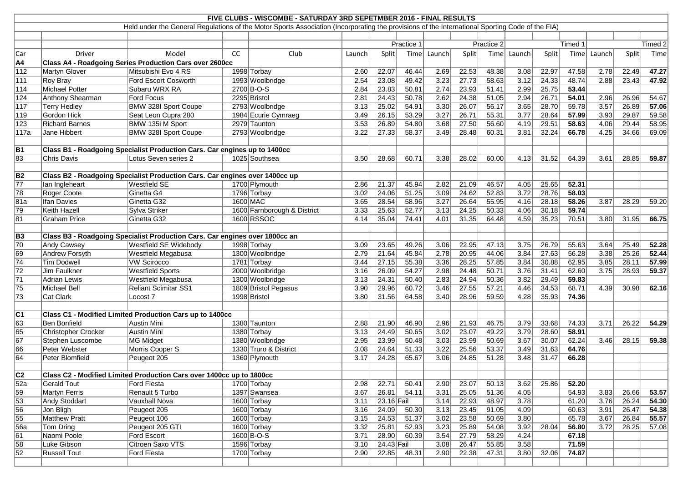| FIVE CLUBS - WISCOMBE - SATURDAY 3RD SEPETMBER 2016 - FINAL RESULTS |                                                                                                                                                 |                                                                             |    |                             |            |            |       |        |              |       |        |         |       |                   |         |       |
|---------------------------------------------------------------------|-------------------------------------------------------------------------------------------------------------------------------------------------|-----------------------------------------------------------------------------|----|-----------------------------|------------|------------|-------|--------|--------------|-------|--------|---------|-------|-------------------|---------|-------|
|                                                                     | Held under the General Regulations of the Motor Sports Association (Incorporating the provisions of the International Sporting Code of the FIA) |                                                                             |    |                             |            |            |       |        |              |       |        |         |       |                   |         |       |
|                                                                     |                                                                                                                                                 |                                                                             |    |                             |            |            |       |        |              |       |        |         |       |                   |         |       |
|                                                                     |                                                                                                                                                 |                                                                             |    |                             | Practice 1 |            |       |        | Practice 2   |       |        | Timed 1 |       |                   | Timed 2 |       |
| Car                                                                 | Driver                                                                                                                                          | Model                                                                       | CC | Club                        | Launch     | Split      | Time  | Launch | Split        | Time  | Launch | Split   | Time  | Launch            | Split   | Time  |
| A4                                                                  |                                                                                                                                                 | <b>Class A4 - Roadgoing Series Production Cars over 2600cc</b>              |    |                             |            |            |       |        |              |       |        |         |       |                   |         |       |
| $\overline{112}$                                                    | Martyn Glover                                                                                                                                   | Mitsubishi Evo 4 RS                                                         |    | 1998 Torbay                 | 2.60       | 22.07      | 46.44 | 2.69   | 22.53        | 48.38 | 3.08   | 22.97   | 47.58 | 2.78              | 22.49   | 47.27 |
| 111                                                                 | Roy Bray                                                                                                                                        | Ford Escort Cosworth                                                        |    | 1993 Woolbridge             | 2.54       | 23.08      | 49.42 | 3.23   | 27.73        | 58.63 | 3.12   | 24.33   | 48.74 | 2.88              | 23.43   | 47.92 |
| $\overline{114}$                                                    | Michael Potter                                                                                                                                  | Subaru WRX RA                                                               |    | 2700 B-O-S                  | 2.84       | 23.83      | 50.81 | 2.74   | 23.93        | 51.41 | 2.99   | 25.75   | 53.44 |                   |         |       |
| 124                                                                 | Anthony Shearman                                                                                                                                | Ford Focus                                                                  |    | 2295 Bristol                | 2.81       | 24.43      | 50.78 | 2.62   | 24.38        | 51.05 | 2.94   | 26.71   | 54.01 | 2.96              | 26.96   | 54.67 |
| 117                                                                 | <b>Terry Hedley</b>                                                                                                                             | <b>BMW 328I Sport Coupe</b>                                                 |    | 2793 Woolbridge             | 3.13       | 25.02      | 54.91 | 3.30   | 26.07        | 56.17 | 3.65   | 28.70   | 59.78 | $\overline{3.57}$ | 26.89   | 57.06 |
| 119                                                                 | Gordon Hick                                                                                                                                     | Seat Leon Cupra 280                                                         |    | 1984 Ecurie Cymraeg         | 3.49       | 26.15      | 53.29 | 3.27   | 26.71        | 55.31 | 3.77   | 28.64   | 57.99 | 3.93              | 29.87   | 59.58 |
| 123                                                                 | <b>Richard Barnes</b>                                                                                                                           | BMW 135i M Sport                                                            |    | 2979 Taunton                | 3.53       | 26.89      | 54.80 | 3.68   | 27.50        | 56.60 | 4.19   | 29.51   | 58.63 | 4.06              | 29.44   | 58.95 |
| 117a                                                                | Jane Hibbert                                                                                                                                    | <b>BMW 328I Sport Coupe</b>                                                 |    | 2793 Woolbridge             | 3.22       | 27.33      | 58.37 | 3.49   | 28.48        | 60.31 | 3.81   | 32.24   | 66.78 | 4.25              | 34.66   | 69.09 |
|                                                                     |                                                                                                                                                 |                                                                             |    |                             |            |            |       |        |              |       |        |         |       |                   |         |       |
| B1                                                                  |                                                                                                                                                 | Class B1 - Roadgoing Specialist Production Cars. Car engines up to 1400cc   |    |                             |            |            |       |        |              |       |        |         |       |                   |         |       |
| 83                                                                  | <b>Chris Davis</b>                                                                                                                              | Lotus Seven series 2                                                        |    | 1025 Southsea               | 3.50       | 28.68      | 60.71 | 3.38   | 28.02        | 60.00 | 4.13   | 31.52   | 64.39 | 3.61              | 28.85   | 59.87 |
|                                                                     |                                                                                                                                                 |                                                                             |    |                             |            |            |       |        |              |       |        |         |       |                   |         |       |
| $\overline{B2}$                                                     |                                                                                                                                                 | Class B2 - Roadgoing Specialist Production Cars. Car engines over 1400cc up |    |                             |            |            |       |        |              |       |        |         |       |                   |         |       |
| $\overline{77}$                                                     | lan Ingleheart                                                                                                                                  | <b>Westfield SE</b>                                                         |    | 1700 Plymouth               | 2.86       | 21.37      | 45.94 | 2.82   | 21.09        | 46.57 | 4.05   | 25.65   | 52.31 |                   |         |       |
| $\overline{78}$                                                     | Roger Coote                                                                                                                                     | Ginetta G4                                                                  |    | 1796 Torbay                 | 3.02       | 24.06      | 51.25 | 3.09   | 24.62        | 52.83 | 3.72   | 28.76   | 58.03 |                   |         |       |
| 81a                                                                 | <b>Ifan Davies</b>                                                                                                                              | Ginetta G32                                                                 |    | 1600 MAC                    | 3.65       | 28.54      | 58.96 | 3.27   | 26.64        | 55.95 | 4.16   | 28.18   | 58.26 | 3.87              | 28.29   | 59.20 |
| 79                                                                  | Keith Hazell                                                                                                                                    | Sylva Striker                                                               |    | 1600 Farnborough & District | 3.33       | 25.63      | 52.77 | 3.13   | 24.25        | 50.33 | 4.06   | 30.18   | 59.74 |                   |         |       |
| 81                                                                  | <b>Graham Price</b>                                                                                                                             | Ginetta G32                                                                 |    | 1600 RSSOC                  | 4.14       | 35.04      | 74.41 | 4.01   | 31.35        | 64.48 | 4.59   | 35.23   | 70.51 | 3.80              | 31.95   | 66.75 |
|                                                                     |                                                                                                                                                 |                                                                             |    |                             |            |            |       |        |              |       |        |         |       |                   |         |       |
| $\overline{B3}$                                                     |                                                                                                                                                 | Class B3 - Roadgoing Specialist Production Cars. Car engines over 1800cc an |    |                             |            |            |       |        |              |       |        |         |       |                   |         |       |
| 70                                                                  | Andy Cawsey                                                                                                                                     | <b>Westfield SE Widebody</b>                                                |    | 1998 Torbay                 | 3.09       | 23.65      | 49.26 | 3.06   | 22.95        | 47.13 | 3.75   | 26.79   | 55.63 | 3.64              | 25.49   | 52.28 |
| 69                                                                  | Andrew Forsyth                                                                                                                                  | <b>Westfield Megabusa</b>                                                   |    | 1300 Woolbridge             | 2.79       | 21.64      | 45.84 | 2.78   | 20.95        | 44.06 | 3.84   | 27.63   | 56.28 | 3.38              | 25.26   | 52.44 |
| $\sqrt{74}$                                                         | Tim Dodwell                                                                                                                                     | <b>VW Scirocco</b>                                                          |    | 1781 Torbay                 | 3.44       | 27.15      | 55.38 | 3.36   | 28.25        | 57.85 | 3.84   | 30.88   | 62.95 | 3.85              | 28.11   | 57.99 |
| $\overline{72}$                                                     | Jim Faulkner                                                                                                                                    | <b>Westfield Sports</b>                                                     |    | 2000 Woolbridge             | 3.16       | 26.09      | 54.27 | 2.98   | 24.48        | 50.71 | 3.76   | 31.41   | 62.60 | 3.75              | 28.93   | 59.37 |
| $\overline{71}$                                                     | <b>Adrian Lewis</b>                                                                                                                             | <b>Westfield Megabusa</b>                                                   |    | 1300 Woolbridge             | 3.13       | 24.31      | 50.40 | 2.83   | 24.94        | 50.36 | 3.82   | 29.49   | 59.83 |                   |         |       |
| $\overline{75}$                                                     | Michael Bell                                                                                                                                    | Reliant Scimitar SS1                                                        |    | 1809 Bristol Pegasus        | 3.90       | 29.96      | 60.72 | 3.46   | 27.55        | 57.21 | 4.46   | 34.53   | 68.71 | 4.39              | 30.98   | 62.16 |
| $\overline{73}$                                                     | <b>Cat Clark</b>                                                                                                                                | Locost <sub>7</sub>                                                         |    | 1998 Bristol                | 3.80       | 31.56      | 64.58 | 3.40   | 28.96        | 59.59 | 4.28   | 35.93   | 74.36 |                   |         |       |
|                                                                     |                                                                                                                                                 |                                                                             |    |                             |            |            |       |        |              |       |        |         |       |                   |         |       |
| C1                                                                  |                                                                                                                                                 | Class C1 - Modified Limited Production Cars up to 1400cc                    |    |                             |            |            |       |        |              |       |        |         |       |                   |         |       |
| 63                                                                  | Ben Bonfield                                                                                                                                    | <b>Austin Mini</b>                                                          |    | 1380 Taunton                | 2.88       | 21.90      | 46.90 |        | $2.96$ 21.93 | 46.75 | 3.79   | 33.68   | 74.33 | 3.71              | 26.22   | 54.29 |
| 65                                                                  | <b>Christopher Crocker</b>                                                                                                                      | Austin Mini                                                                 |    | 1380 Torbay                 | 3.13       | 24.49      | 50.65 | 3.02   | 23.07        | 49.22 | 3.79   | 28.60   | 58.91 |                   |         |       |
| $\overline{67}$                                                     | Stephen Luscombe                                                                                                                                | MG Midget                                                                   |    | 1380 Woolbridge             | 2.95       | 23.99      | 50.48 | 3.03   | 23.99        | 50.69 | 3.67   | 30.07   | 62.24 | 3.46              | 28.15   | 59.38 |
| 66                                                                  | Peter Webster                                                                                                                                   | Morris Cooper S                                                             |    | 1330 Truro & District       | 3.08       | 24.64      | 51.33 | 3.22   | 25.56        | 53.37 | 3.49   | 31.63   | 64.76 |                   |         |       |
| $\overline{64}$                                                     | Peter Blomfield                                                                                                                                 | Peugeot 205                                                                 |    | 1360 Plymouth               | 3.17       | 24.28      | 65.67 | 3.06   | 24.85        | 51.28 | 3.48   | 31.47   | 66.28 |                   |         |       |
|                                                                     |                                                                                                                                                 |                                                                             |    |                             |            |            |       |        |              |       |        |         |       |                   |         |       |
| C2                                                                  |                                                                                                                                                 | Class C2 - Modified Limited Production Cars over 1400cc up to 1800cc        |    |                             |            |            |       |        |              |       |        |         |       |                   |         |       |
| $\overline{52a}$                                                    | <b>Gerald Tout</b>                                                                                                                              | Ford Fiesta                                                                 |    | 1700 Torbay                 | 2.98       | 22.71      | 50.41 | 2.90   | 23.07        | 50.13 | 3.62   | 25.86   | 52.20 |                   |         |       |
| $\overline{59}$                                                     | Martyn Ferris                                                                                                                                   | Renault 5 Turbo                                                             |    | 1397 Swansea                | 3.67       | 26.81      | 54.11 | 3.31   | 25.05        | 51.36 | 4.05   |         | 54.93 | 3.83              | 26.66   | 53.57 |
| $\overline{53}$                                                     | Andy Stoddart                                                                                                                                   | Vauxhall Nova                                                               |    | 1600 Torbay                 | 3.11       | 23.16 Fail |       | 3.14   | 22.93        | 48.97 | 3.78   |         | 61.20 | 3.76              | 26.24   | 54.30 |
| $\overline{56}$                                                     | Jon Bligh                                                                                                                                       | Peugeot 205                                                                 |    | 1600 Torbay                 | 3.16       | 24.09      | 50.30 | 3.13   | 23.45        | 91.05 | 4.09   |         | 60.63 | 3.91              | 26.47   | 54.38 |
| 55                                                                  | <b>Matthew Pratt</b>                                                                                                                            | Peugeot 106                                                                 |    | 1600 Torbay                 | 3.15       | 24.53      | 51.37 | 3.02   | 23.58        | 50.69 | 3.80   |         | 65.78 | 3.67              | 26.84   | 55.57 |
| $\overline{56a}$                                                    | Tom Dring                                                                                                                                       | Peugeot 205 GTI                                                             |    | 1600 Torbay                 | 3.32       | 25.81      | 52.93 | 3.23   | 25.89        | 54.08 | 3.92   | 28.04   | 56.80 | 3.72              | 28.25   | 57.08 |
| $\overline{61}$                                                     | Naomi Poole                                                                                                                                     | <b>Ford Escort</b>                                                          |    | $1600 B-O-S$                | 3.71       | 28.90      | 60.39 | 3.54   | 27.79        | 58.29 | 4.24   |         | 67.18 |                   |         |       |
| $\overline{58}$                                                     | Luke Gibson                                                                                                                                     | Citroen Saxo VTS                                                            |    | 1596 Torbay                 | 3.10       | 24.43 Fail |       | 3.08   | 26.47        | 55.85 | 3.58   |         | 71.59 |                   |         |       |
| $\overline{52}$                                                     | <b>Russell Tout</b>                                                                                                                             | Ford Fiesta                                                                 |    | 1700 Torbay                 | 2.90       | 22.85      | 48.31 | 2.90   | 22.38        | 47.31 | 3.80   | 32.06   | 74.87 |                   |         |       |
|                                                                     |                                                                                                                                                 |                                                                             |    |                             |            |            |       |        |              |       |        |         |       |                   |         |       |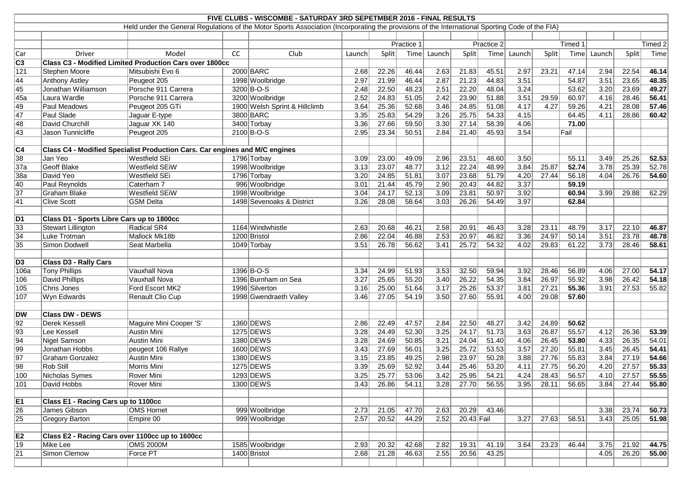| FIVE CLUBS - WISCOMBE - SATURDAY 3RD SEPETMBER 2016 - FINAL RESULTS<br>Held under the General Regulations of the Motor Sports Association (Incorporating the provisions of the International Sporting Code of the FIA) |                                                 |                                                                             |    |                               |            |       |       |        |              |       |        |              |       |        |         |                    |
|------------------------------------------------------------------------------------------------------------------------------------------------------------------------------------------------------------------------|-------------------------------------------------|-----------------------------------------------------------------------------|----|-------------------------------|------------|-------|-------|--------|--------------|-------|--------|--------------|-------|--------|---------|--------------------|
|                                                                                                                                                                                                                        |                                                 |                                                                             |    |                               |            |       |       |        |              |       |        |              |       |        |         |                    |
|                                                                                                                                                                                                                        |                                                 |                                                                             |    |                               |            |       |       |        |              |       |        |              |       |        |         |                    |
|                                                                                                                                                                                                                        |                                                 |                                                                             |    |                               | Practice 1 |       |       |        | Practice 2   |       |        | Timed 1      |       |        | Timed 2 |                    |
| Car                                                                                                                                                                                                                    | Driver                                          | Model                                                                       | cc | Club                          | Launch     | Split | Time  | Launch | Split        | Time  | Launch | Split        | Time  | Launch | Split   | Time               |
| C <sub>3</sub>                                                                                                                                                                                                         |                                                 | <b>Class C3 - Modified Limited Production Cars over 1800cc</b>              |    |                               |            |       |       |        |              |       |        |              |       |        |         |                    |
| $\overline{121}$                                                                                                                                                                                                       | Stephen Moore                                   | Mitsubishi Evo 6                                                            |    | 2000 BARC                     | 2.68       | 22.26 | 46.44 | 2.63   | 21.83        | 45.51 | 2.97   | 23.21        | 47.14 | 2.94   | 22.54   | 46.14              |
| 44                                                                                                                                                                                                                     | Anthony Astley                                  | Peugeot 205                                                                 |    | 1998 Woolbridge               | 2.97       | 21.99 | 46.44 | 2.87   | 21.23        | 44.83 | 3.51   |              | 54.87 | 3.51   | 23.65   | 48.35              |
| 45                                                                                                                                                                                                                     | Jonathan Williamson                             | Porsche 911 Carrera                                                         |    | 3200 B-O-S                    | 2.48       | 22.50 | 48.23 | 2.51   | 22.20        | 48.04 | 3.24   |              | 53.62 | 3.20   | 23.69   | 49.27              |
| 45a                                                                                                                                                                                                                    | Laura Wardle                                    | Porsche 911 Carrera                                                         |    | 3200 Woolbridge               | 2.52       | 24.83 | 51.05 | 2.42   | 23.90        | 51.88 | 3.51   | 29.59        | 60.97 | 4.16   | 28.46   | 56.41              |
| 49                                                                                                                                                                                                                     | Paul Meadows                                    | Peugeot 205 GTi                                                             |    | 1900 Welsh Sprint & Hillclimb | 3.64       | 25.36 | 52.68 | 3.46   | 24.85        | 51.08 | 4.17   | 4.27         | 59.26 | 4.21   | 28.08   | 57.46              |
| 47                                                                                                                                                                                                                     | Paul Slade                                      | Jaguar E-type                                                               |    | 3800 BARC                     | 3.35       | 25.83 | 54.29 | 3.26   | 25.75        | 54.33 | 4.15   |              | 64.45 | 4.11   | 28.86   | 60.42              |
| 48                                                                                                                                                                                                                     | David Churchill                                 | Jaguar XK 140                                                               |    | 3400 Torbay                   | 3.36       | 27.66 | 59.50 | 3.30   | 27.14        | 58.39 | 4.06   |              | 71.00 |        |         |                    |
| 43                                                                                                                                                                                                                     | Jason Tunnicliffe                               | Peugeot 205                                                                 |    | $2100 B-O-S$                  | 2.95       | 23.34 | 50.51 | 2.84   | 21.40        | 45.93 | 3.54   |              | Fail  |        |         |                    |
|                                                                                                                                                                                                                        |                                                 |                                                                             |    |                               |            |       |       |        |              |       |        |              |       |        |         |                    |
| <sub>C4</sub>                                                                                                                                                                                                          |                                                 | Class C4 - Modified Specialist Production Cars. Car engines and M/C engines |    |                               |            |       |       |        |              |       |        |              |       |        |         |                    |
| 38                                                                                                                                                                                                                     | Jan Yeo                                         | Westfield SEi                                                               |    | 1796 Torbay                   | 3.09       | 23.00 | 49.09 | 2.96   | 23.51        | 48.60 | 3.50   |              | 55.11 | 3.49   | 25.26   | 52.53              |
| 37a                                                                                                                                                                                                                    | <b>Geoff Blake</b>                              | <b>Westfield SEiW</b>                                                       |    | 1998 Woolbridge               | 3.13       | 23.07 | 48.77 | 3.12   | 22.24        | 48.99 | 3.84   | 25.87        | 52.74 | 3.78   | 25.39   | 52.78              |
| 38a                                                                                                                                                                                                                    | David Yeo                                       | <b>Westfield SEi</b>                                                        |    | 1796 Torbay                   | 3.20       | 24.85 | 51.81 | 3.07   | 23.68        | 51.79 | 4.20   | 27.44        | 56.18 | 4.04   | 26.76   | 54.60              |
| $\overline{40}$                                                                                                                                                                                                        | <b>Paul Reynolds</b>                            | Caterham 7                                                                  |    | 996 Woolbridge                | 3.01       | 21.44 | 45.79 | 2.90   | 20.43        | 44.82 | 3.37   |              | 59.19 |        |         |                    |
| $\overline{37}$                                                                                                                                                                                                        | <b>Graham Blake</b>                             | <b>Westfield SEiW</b>                                                       |    | 1998 Woolbridge               | 3.04       | 24.17 | 52.13 | 3.09   | 23.81        | 50.97 | 3.92   |              | 60.94 | 3.99   | 29.88   | 62.29              |
| $\overline{41}$                                                                                                                                                                                                        | <b>Clive Scott</b>                              | <b>GSM Delta</b>                                                            |    | 1498 Sevenoaks & District     | 3.26       | 28.08 | 58.64 | 3.03   | 26.26        | 54.49 | 3.97   |              | 62.84 |        |         |                    |
|                                                                                                                                                                                                                        |                                                 |                                                                             |    |                               |            |       |       |        |              |       |        |              |       |        |         |                    |
| $\overline{D1}$                                                                                                                                                                                                        | Class D1 - Sports Libre Cars up to 1800cc       |                                                                             |    |                               |            |       |       |        |              |       |        |              |       |        |         |                    |
| 33                                                                                                                                                                                                                     | <b>Stewart Lillington</b>                       | <b>Radical SR4</b>                                                          |    | 1164 Windwhistle              | 2.63       | 20.68 | 46.21 | 2.58   | 20.91        | 46.43 | 3.28   | 23.11        | 48.79 | 3.17   | 22.10   | 46.87              |
| $\overline{34}$                                                                                                                                                                                                        | Luke Trotman                                    | Mallock Mk18b                                                               |    | 1200 Bristol                  | 2.86       | 22.04 | 46.88 | 2.53   | 20.97        | 46.82 | 3.36   | 24.97        | 50.14 | 3.51   | 23.78   | 48.78              |
| $\overline{35}$                                                                                                                                                                                                        | Simon Dodwell                                   | Seat Marbella                                                               |    | 1049 Torbay                   | 3.51       | 26.78 | 56.62 | 3.41   | 25.72        | 54.32 | 4.02   | 29.83        | 61.22 | 3.73   | 28.46   | 58.61              |
|                                                                                                                                                                                                                        |                                                 |                                                                             |    |                               |            |       |       |        |              |       |        |              |       |        |         |                    |
| $\overline{D3}$                                                                                                                                                                                                        | Class D3 - Rally Cars                           |                                                                             |    |                               |            |       |       |        |              |       |        |              |       |        |         |                    |
| 106a                                                                                                                                                                                                                   | <b>Tony Phillips</b>                            | <b>Vauxhall Nova</b>                                                        |    | 1396 B-O-S                    | 3.34       | 24.99 | 51.93 | 3.53   | 32.50        | 59.94 | 3.92   | 28.46        | 56.89 | 4.06   | 27.00   | 54.17              |
| 106                                                                                                                                                                                                                    | David Phillips                                  | <b>Vauxhall Nova</b>                                                        |    | 1396 Burnham on Sea           | 3.27       | 25.65 | 55.20 | 3.40   | 26.22        | 54.35 | 3.84   | 26.97        | 55.92 | 3.98   | 26.42   | 54.18              |
| 105                                                                                                                                                                                                                    | Chris Jones                                     | Ford Escort MK2                                                             |    | 1998 Silverton                | 3.16       | 25.00 | 51.64 | 3.17   | 25.26        | 53.37 | 3.81   | 27.21        | 55.36 | 3.91   | 27.53   | 55.82              |
| 107                                                                                                                                                                                                                    | Wyn Edwards                                     | Renault Clio Cup                                                            |    | 1998 Gwendraeth Valley        | 3.46       | 27.05 | 54.19 | 3.50   | 27.60        | 55.91 | 4.00   | 29.08        | 57.60 |        |         |                    |
|                                                                                                                                                                                                                        |                                                 |                                                                             |    |                               |            |       |       |        |              |       |        |              |       |        |         |                    |
| DW                                                                                                                                                                                                                     | <b>Class DW - DEWS</b>                          |                                                                             |    |                               |            |       |       |        |              |       |        |              |       |        |         |                    |
| 92                                                                                                                                                                                                                     | <b>Derek Kessell</b>                            | Maguire Mini Cooper 'S'                                                     |    | 1360 DEWS                     | 2.86       | 22.49 | 47.57 |        | $2.84$ 22.50 | 48.27 |        | $3.42$ 24.89 | 50.62 |        |         |                    |
| $\sqrt{93}$                                                                                                                                                                                                            | Lee Kessell                                     | Austin Mini                                                                 |    | 1275 DEWS                     | 3.28       | 24.49 | 52.30 | 3.25   | 24.17        | 51.73 | 3.63   | 26.87        | 55.57 | 4.12   | 26.36   | 53.39              |
| $\sqrt{94}$                                                                                                                                                                                                            | Nigel Samson                                    | Austin Mini                                                                 |    | 1380 DEWS                     | 3.28       | 24.69 | 50.85 | 3.21   | 24.04        | 51.40 | 4.06   | 26.45        | 53.80 | 4.33   | 26.35   | 54.01              |
| 99                                                                                                                                                                                                                     | Jonathan Hobbs                                  | peugeot 106 Rallye                                                          |    | 1600 DEWS                     | 3.43       | 27.69 | 56.01 | 3.25   | 25.72        | 53.53 | 3.57   | 27.20        | 55.81 | 3.45   | 26.45   | 54.41              |
| $\overline{97}$                                                                                                                                                                                                        | Graham Gonzalez                                 | Austin Mini                                                                 |    | 1380 DEWS                     | 3.15       | 23.85 | 49.25 | 2.98   | 23.97        | 50.28 | 3.88   | 27.76        | 55.83 | 3.84   | 27.19   | 54.66              |
| $\overline{\overline{\smash{98}}}$                                                                                                                                                                                     | Rob Still                                       | Morris Mini                                                                 |    | 1275 DEWS                     | 3.39       | 25.69 | 52.92 | 3.44   | 25.46        | 53.20 | 4.11   | 27.75        | 56.20 | 4.20   | 27.57   | 55.33              |
| 100                                                                                                                                                                                                                    | Nicholas Symes                                  | Rover Mini                                                                  |    | 1293 DEWS                     | 3.25       | 25.77 | 53.06 | 3.42   | 25.95        | 54.21 | 4.24   | 28.43        | 56.57 | 4.10   | 27.57   | 55.55              |
| $\overline{101}$                                                                                                                                                                                                       | David Hobbs                                     | Rover Mini                                                                  |    | 1300 DEWS                     | 3.43       | 26.86 | 54.11 | 3.28   | 27.70        | 56.55 | 3.95   | 28.11        | 56.65 | 3.84   | 27.44   | 55.80              |
|                                                                                                                                                                                                                        |                                                 |                                                                             |    |                               |            |       |       |        |              |       |        |              |       |        |         |                    |
| $\overline{\mathsf{E1}}$                                                                                                                                                                                               | Class E1 - Racing Cars up to 1100cc             |                                                                             |    |                               |            |       |       |        |              |       |        |              |       |        |         |                    |
| $\overline{26}$                                                                                                                                                                                                        | James Gibson                                    | <b>OMS Hornet</b>                                                           |    | 999 Woolbridge                | 2.73       | 21.05 | 47.70 | 2.63   | 20.29        | 43.46 |        |              |       | 3.38   | 23.74   | $\overline{50.73}$ |
| $\overline{25}$                                                                                                                                                                                                        | <b>Gregory Barton</b>                           | Empire 00                                                                   |    | 999 Woolbridge                | 2.57       | 20.52 | 44.29 | 2.52   | $20.43$ Fail |       | 3.27   | 27.63        | 58.51 | 3.43   | 25.05   | 51.98              |
|                                                                                                                                                                                                                        |                                                 |                                                                             |    |                               |            |       |       |        |              |       |        |              |       |        |         |                    |
| E2                                                                                                                                                                                                                     | Class E2 - Racing Cars over 1100cc up to 1600cc |                                                                             |    |                               |            |       |       |        |              |       |        |              |       |        |         |                    |
| $\overline{19}$                                                                                                                                                                                                        | Mike Lee                                        | <b>OMS 2000M</b>                                                            |    | 1585 Woolbridge               | 2.93       | 20.32 | 42.68 | 2.82   | 19.31        | 41.19 | 3.64   | 23.23        | 46.44 | 3.75   | 21.92   | 44.75              |
| $\overline{21}$                                                                                                                                                                                                        | Simon Clemow                                    | Force PT                                                                    |    | 1400 Bristol                  | 2.68       | 21.28 | 46.63 | 2.55   | 20.56        | 43.25 |        |              |       | 4.05   | 26.20   | 55.00              |
|                                                                                                                                                                                                                        |                                                 |                                                                             |    |                               |            |       |       |        |              |       |        |              |       |        |         |                    |